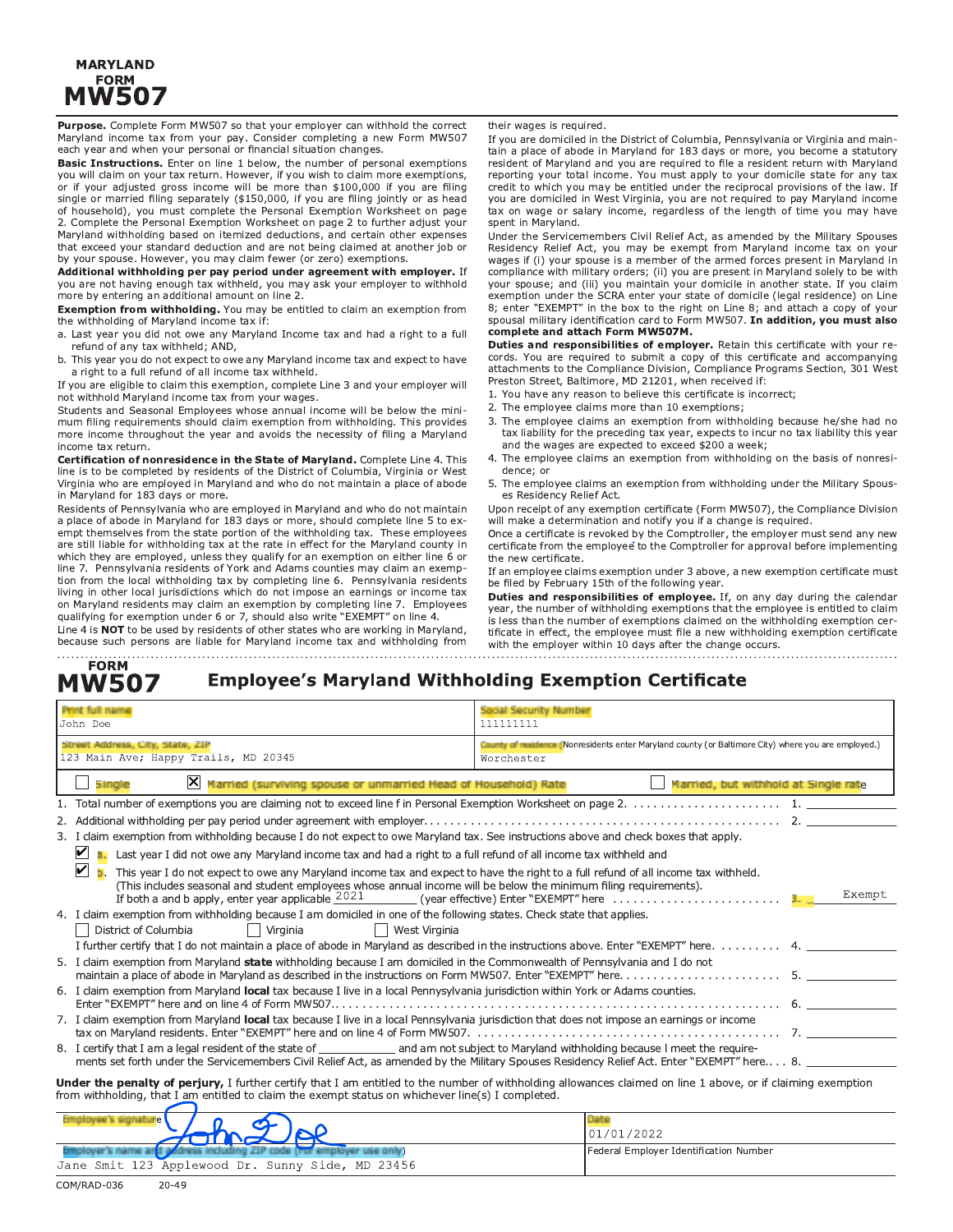### **MARYLAND FORM MW507**

Purpose. Complete Form MW507 so that your employer can withhold the correct Maryland income tax from your pay. Consider completing a new Form MW507 each year and when your personal or financial situation changes.

Basic Instructions. Enter on line 1 below, the number of personal exemptions you will claim on your tax return. However, if you wish to claim more exemptions, or if your adjusted gross income will be more than \$100,000 if you are filing single or married filing separately (\$150,000, if you are filing jointly or as head of household), you must complete the Personal Exemption Worksheet on page 2. Complete the Personal Exemption Worksheet on page 2 to further adjust your Maryland withholding based on itemized deductions, and certain other expenses that exceed your standard deduction and are not being claimed at another job or by your spouse. However, you may claim fewer (or zero) exemptions.

Additional withholding per pay period under agreement with employer. If you are not having enough tax withheld, you may ask your employer to withhold more by entering an additional amount on line 2.

Exemption from withholding. You may be entitled to claim an exemption from the withholding of Maryland income tax if:

a. Last year you did not owe any Maryland Income tax and had a right to a full refund of any tax withheld: AND.

b. This year you do not expect to owe any Maryland income tax and expect to have a right to a full refund of all income tax withheld.

If you are eligible to claim this exemption, complete Line 3 and your employer will not withhold Maryland income tax from your wages.

Students and Seasonal Employees whose annual income will be below the minimum filing requirements should claim exemption from withholding. This provides more income throughout the year and avoids the necessity of filing a Maryland income tax return.

Certification of nonresidence in the State of Maryland. Complete Line 4. This line is to be completed by residents of the District of Columbia, Virginia or West Virginia who are employed in Maryland and who do not maintain a place of abode in Maryland for 183 days or more.

Residents of Pennsylvania who are employed in Maryland and who do not maintain a place of abode in Maryland for 183 days or more, should complete line 5 to exempt themselves from the state portion of the withholding tax. These employees are still liable for withholding tax at the rate in effect for the Maryland county in which they are employed, unless they qualify for an exemption on either line 6 or line 7. Pennsylvania residents of York and Adams counties may claim an exemption from the local withholding tax by completing line 6. Pennsylvania residents living in other local jurisdictions which do not impose an earnings or income tax on Maryland residents may claim an exemption by completing line 7. Employees qualifying for exemption under 6 or 7, should also write "EXEMPT" on line 4. Line 4 is NOT to be used by residents of other states who are working in Maryland,

because such persons are liable for Maryland income tax and withholding from

their wages is required.

If you are domiciled in the District of Columbia, Pennsylvania or Virginia and maintain a place of abode in Maryland for 183 days or more, you become a statutory resident of Maryland and you are required to file a resident return with Maryland reporting your total income. You must apply to your domicile state for any tax credit to which you may be entitled under the reciprocal provisions of the law. If you are domiciled in West Virginia, you are not required to pay Maryland income tax on wage or salary income, regardless of the length of time you may have spent in Maryland.

Under the Servicemembers Civil Relief Act, as amended by the Military Spouses Residency Relief Act, you may be exempt from Maryland income tax on your wages if (i) your spouse is a member of the armed forces present in Maryland in compliance with military orders; (ii) you are present in Maryland solely to be with your spouse; and (iii) you maintain your domicile in another state. If you claim exemption under the SCRA enter your state of domicile (legal residence) on Line 8; enter "EXEMPT" in the box to the right on Line 8; and attach a copy of your spousal military identification card to Form MW507. In addition, you must also complete and attach Form MW507M.

Duties and responsibilities of employer. Retain this certificate with your records. You are required to submit a copy of this certificate and accompanying attachments to the Compliance Division, Compliance Programs Section, 301 West Preston Street, Baltimore, MD 21201, when received if:

- 1. You have any reason to believe this certificate is incorrect;
- 2. The employee claims more than 10 exemptions:
- 3. The employee claims an exemption from withholding because he/she had no tax liability for the preceding tax year, expects to incur no tax liability this year and the wages are expected to exceed \$200 a week;
- 4. The employee claims an exemption from withholding on the basis of nonresidence; or
- 5. The employee claims an exemption from withholding under the Military Spouses Residency Relief Act.

Upon receipt of any exemption certificate (Form MW507), the Compliance Division will make a determination and notify you if a change is required.

Once a certificate is revoked by the Comptroller, the employer must send any new certificate from the employee to the Comptroller for approval before implementing the new certificate.

If an employee claims exemption under 3 above, a new exemption certificate must be filed by February 15th of the following year.

Duties and responsibilities of employee. If, on any day during the calendar year, the number of withholding exemptions that the employee is entitled to claim is less than the number of exemptions claimed on the withholding exemption certificate in effect, the employee must file a new withholding exemption certificate with the employer within 10 days after the change occurs.

#### **FORM MW507 Employee's Maryland Withholding Exemption Certificate**

| Print full name<br>John Doe                                                                                                                                                                                                                                              | Social Security Number<br>111111111                                                                               |  |  |  |
|--------------------------------------------------------------------------------------------------------------------------------------------------------------------------------------------------------------------------------------------------------------------------|-------------------------------------------------------------------------------------------------------------------|--|--|--|
| Street Address, City, State, ZiP<br>123 Main Ave; Happy Trails, MD 20345                                                                                                                                                                                                 | County of multimes (Nonresidents enter Maryland county (or Baltimore City) where you are employed.)<br>Worchester |  |  |  |
| X Married (surviving spouse or unmarried Head of Household) Rate<br>5 ing e                                                                                                                                                                                              | Married, but withhold at Single rate                                                                              |  |  |  |
|                                                                                                                                                                                                                                                                          |                                                                                                                   |  |  |  |
|                                                                                                                                                                                                                                                                          |                                                                                                                   |  |  |  |
| 3. I claim exemption from withholding because I do not expect to owe Maryland tax. See instructions above and check boxes that apply.                                                                                                                                    |                                                                                                                   |  |  |  |
| $\vert\bm{\mathsf{v}}\vert$<br>Last year I did not owe any Maryland income tax and had a right to a full refund of all income tax withheld and                                                                                                                           |                                                                                                                   |  |  |  |
| V <br>This year I do not expect to owe any Maryland income tax and expect to have the right to a full refund of all income tax withheld.<br>(This includes seasonal and student employees whose annual income will be below the minimum filing requirements).<br>Exempt  |                                                                                                                   |  |  |  |
| 4. I claim exemption from withholding because I am domiciled in one of the following states. Check state that applies.<br>Virginia<br>    West Virginia<br>District of Columbia<br>$\Box$                                                                                |                                                                                                                   |  |  |  |
| I further certify that I do not maintain a place of abode in Maryland as described in the instructions above. Enter "EXEMPT" here. 4.                                                                                                                                    |                                                                                                                   |  |  |  |
| 5. I claim exemption from Maryland state withholding because I am domiciled in the Commonwealth of Pennsylvania and I do not                                                                                                                                             |                                                                                                                   |  |  |  |
| 6. I claim exemption from Maryland local tax because I live in a local Pennysylvania jurisdiction within York or Adams counties.                                                                                                                                         |                                                                                                                   |  |  |  |
| 7. I claim exemption from Maryland local tax because I live in a local Pennsylvania jurisdiction that does not impose an earnings or income                                                                                                                              |                                                                                                                   |  |  |  |
| ments set forth under the Servicemembers Civil Relief Act, as amended by the Military Spouses Residency Relief Act. Enter "EXEMPT" here 8.                                                                                                                               |                                                                                                                   |  |  |  |
| <b>Under the penalty of perjury,</b> I further certify that I am entitled to the number of withholding allowances claimed on line 1 above, or if claiming exemption<br>from withholding, that I am entitled to claim the exempt status on whichever line(s) I completed. |                                                                                                                   |  |  |  |

| Employee's signature                                                   | Data                                   |  |
|------------------------------------------------------------------------|----------------------------------------|--|
| $\frac{1}{\sqrt{2}}$                                                   | 101/01/2022                            |  |
| Employer's name and podress including ZIP code (ror employer use only) | Federal Employer Identification Number |  |
| Jane Smit 123 Applewood Dr. Sunny Side, MD 23456                       |                                        |  |